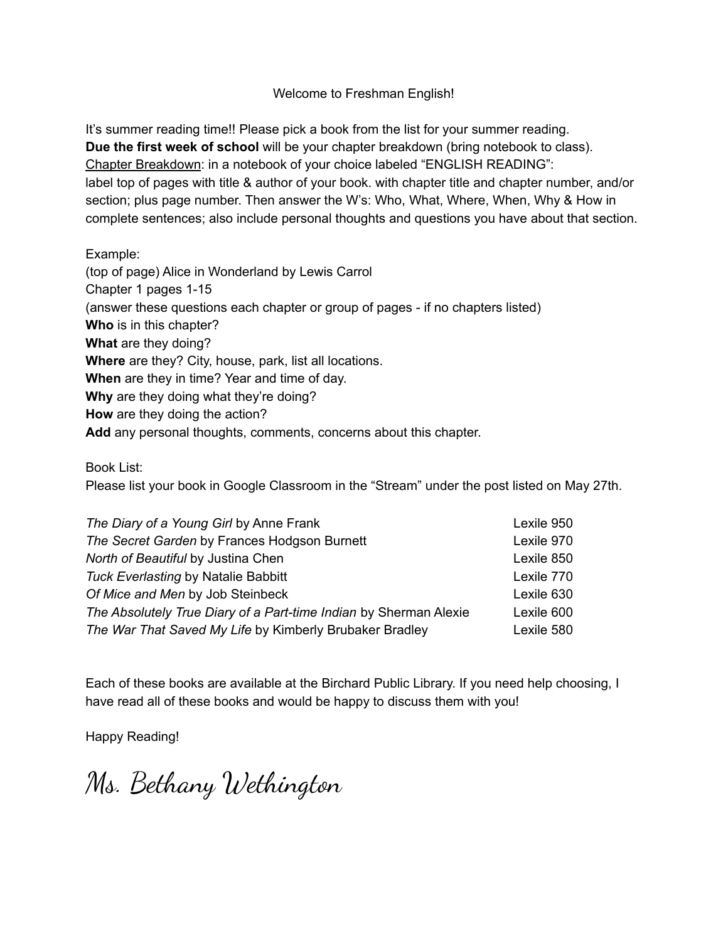# Welcome to Freshman English!

It's summer reading time!! Please pick a book from the list for your summer reading. **Due the first week of school** will be your chapter breakdown (bring notebook to class). Chapter Breakdown: in a notebook of your choice labeled "ENGLISH READING": label top of pages with title & author of your book. with chapter title and chapter number, and/or section; plus page number. Then answer the W's: Who, What, Where, When, Why & How in complete sentences; also include personal thoughts and questions you have about that section.

Example:

(top of page) Alice in Wonderland by Lewis Carrol Chapter 1 pages 1-15 (answer these questions each chapter or group of pages - if no chapters listed) **Who** is in this chapter? **What** are they doing? **Where** are they? City, house, park, list all locations. **When** are they in time? Year and time of day. **Why** are they doing what they're doing? **How** are they doing the action? **Add** any personal thoughts, comments, concerns about this chapter.

Book List:

Please list your book in Google Classroom in the "Stream" under the post listed on May 27th.

| The Diary of a Young Girl by Anne Frank                           | Lexile 950 |
|-------------------------------------------------------------------|------------|
| The Secret Garden by Frances Hodgson Burnett                      | Lexile 970 |
| North of Beautiful by Justina Chen                                | Lexile 850 |
| <b>Tuck Everlasting by Natalie Babbitt</b>                        | Lexile 770 |
| Of Mice and Men by Job Steinbeck                                  | Lexile 630 |
| The Absolutely True Diary of a Part-time Indian by Sherman Alexie | Lexile 600 |
| The War That Saved My Life by Kimberly Brubaker Bradley           | Lexile 580 |

Each of these books are available at the Birchard Public Library. If you need help choosing, I have read all of these books and would be happy to discuss them with you!

Happy Reading!

Ms. Bethany Wethington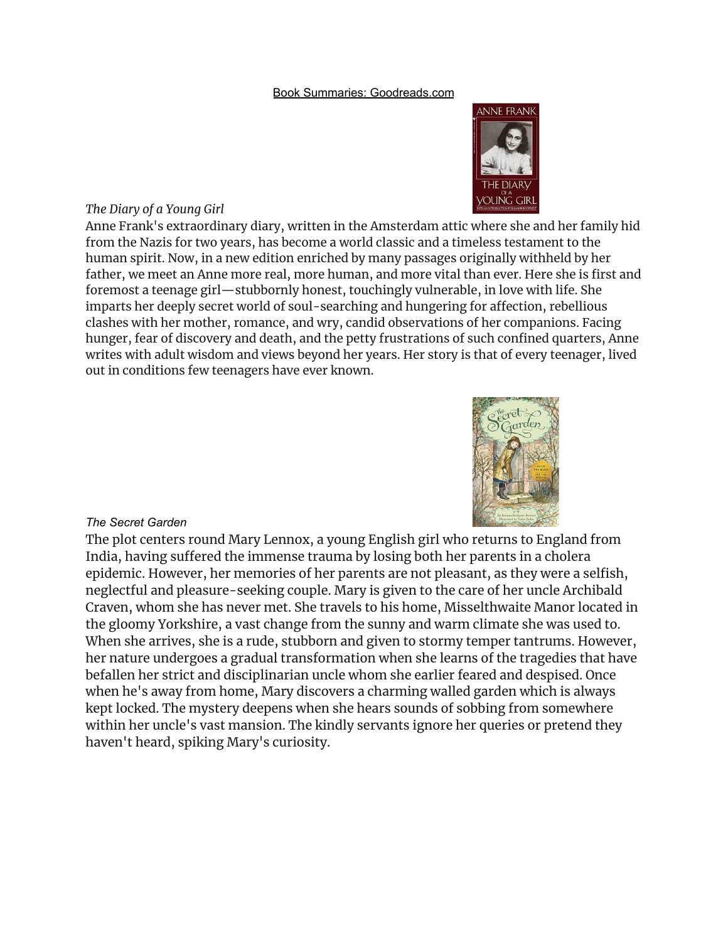### Book Summaries: Goodreads.com



### *The Diary of a Young Girl*

Anne Frank's extraordinary diary, written in the Amsterdam attic where she and her family hid from the Nazis for two years, has become a world classic and a timeless testament to the human spirit. Now, in a new edition enriched by many passages originally withheld by her father, we meet an Anne more real, more human, and more vital than ever. Here she is first and foremost a teenage girl—stubbornly honest, touchingly vulnerable, in love with life. She imparts her deeply secret world of soul-searching and hungering for affection, rebellious clashes with her mother, romance, and wry, candid observations of her companions. Facing hunger, fear of discovery and death, and the petty frustrations of such confined quarters, Anne writes with adult wisdom and views beyond her years. Her story is that of every teenager, lived out in conditions few teenagers have ever known.



### *The Secret Garden*

The plot centers round Mary Lennox, a young English girl who returns to England from India, having suffered the immense trauma by losing both her parents in a cholera epidemic. However, her memories of her parents are not pleasant, as they were a selfish, neglectful and pleasure-seeking couple. Mary is given to the care of her uncle Archibald Craven, whom she has never met. She travels to his home, Misselthwaite Manor located in the gloomy Yorkshire, a vast change from the sunny and warm climate she was used to. When she arrives, she is a rude, stubborn and given to stormy temper tantrums. However, her nature undergoes a gradual transformation when she learns of the tragedies that have befallen her strict and disciplinarian uncle whom she earlier feared and despised. Once when he's away from home, Mary discovers a charming walled garden which is always kept locked. The mystery deepens when she hears sounds of sobbing from somewhere within her uncle's vast mansion. The kindly servants ignore her queries or pretend they haven't heard, spiking Mary's curiosity.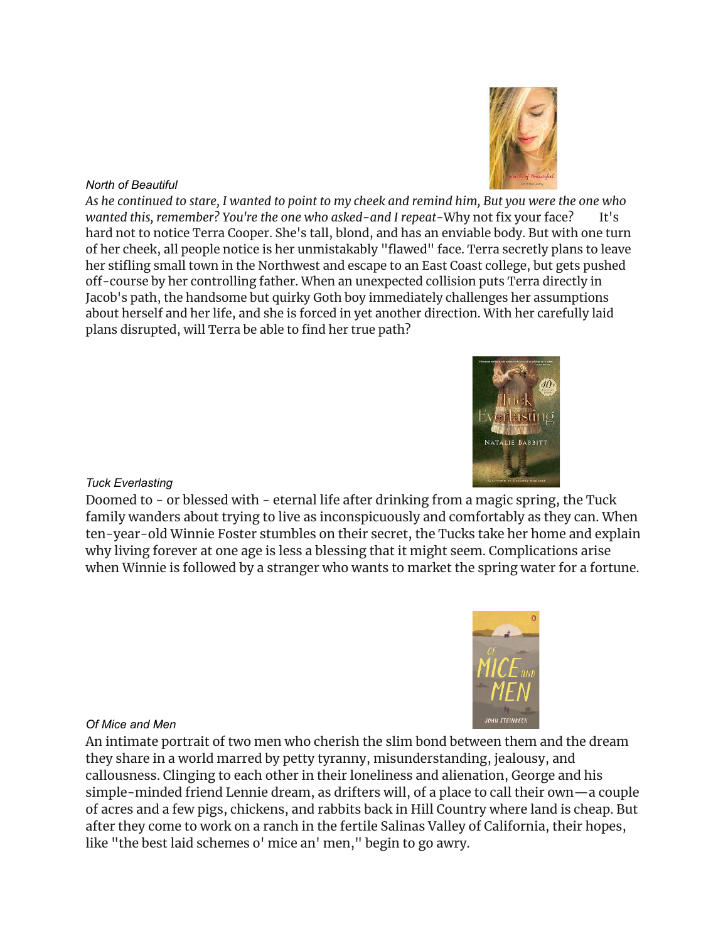# *North of Beautiful*

As he continued to stare, I wanted to point to my cheek and remind him, But you were the one who *wanted this, remember? You're the one who asked-and I repeat-Why not fix your face?* hard not to notice Terra Cooper. She's tall, blond, and has an enviable body. But with one turn of her cheek, all people notice is her unmistakably "flawed" face. Terra secretly plans to leave her stifling small town in the Northwest and escape to an East Coast college, but gets pushed off-course by her controlling father. When an unexpected collision puts Terra directly in Jacob's path, the handsome but quirky Goth boy immediately challenges her assumptions about herself and her life, and she is forced in yet another direction. With her carefully laid plans disrupted, will Terra be able to find her true path?

## *Tuck Everlasting*

Doomed to - or blessed with - eternal life after drinking from a magic spring, the Tuck family wanders about trying to live as inconspicuously and comfortably as they can. When ten-year-old Winnie Foster stumbles on their secret, the Tucks take her home and explain why living forever at one age is less a blessing that it might seem. Complications arise when Winnie is followed by a stranger who wants to market the spring water for a fortune.

### *Of Mice and Men*

An intimate portrait of two men who cherish the slim bond between them and the dream they share in a world marred by petty tyranny, misunderstanding, jealousy, and callousness. Clinging to each other in their loneliness and alienation, George and his simple-minded friend Lennie dream, as drifters will, of a place to call their own—a couple of acres and a few pigs, chickens, and rabbits back in Hill Country where land is cheap. But after they come to work on a ranch in the fertile Salinas Valley of California, their hopes, like "the best laid schemes o' mice an' men," begin to go awry.